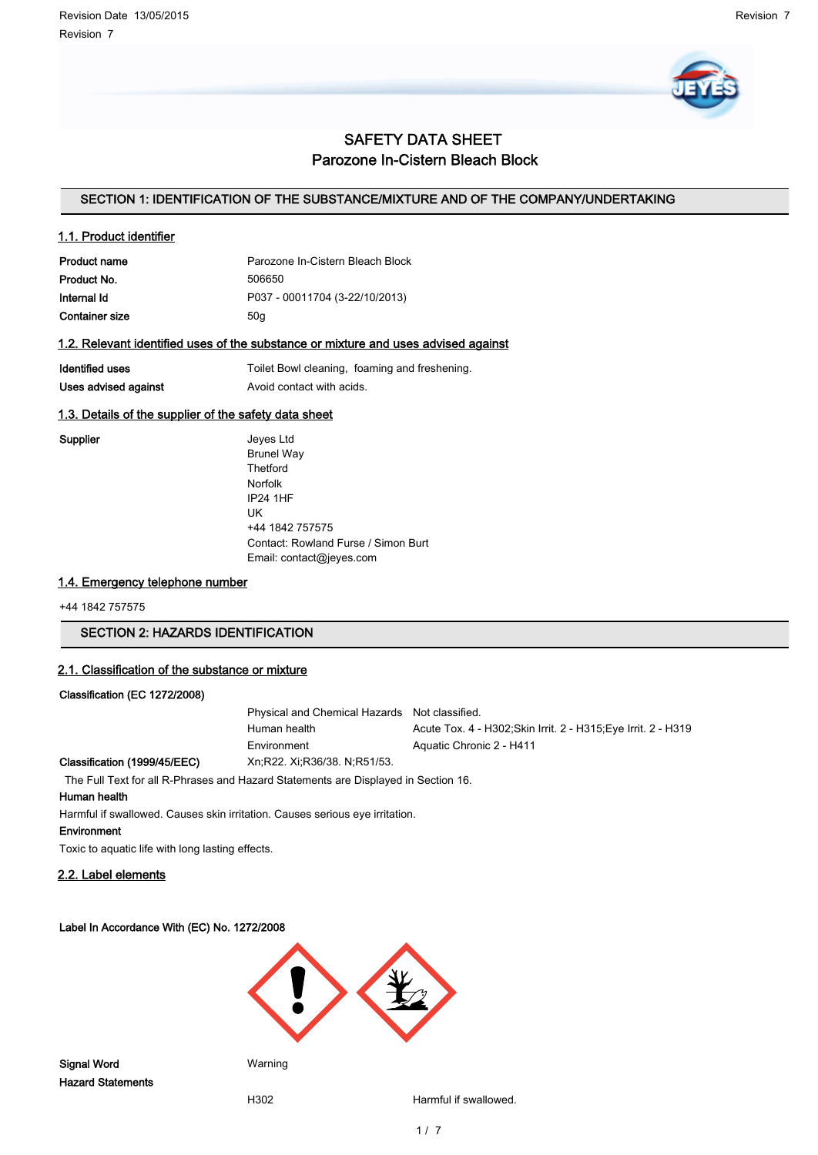

# SAFETY DATA SHEET Parozone In-Cistern Bleach Block

# SECTION 1: IDENTIFICATION OF THE SUBSTANCE/MIXTURE AND OF THE COMPANY/UNDERTAKING

#### 1.1. Product identifier

| <b>Product name</b> | Parozone In-Cistern Bleach Block |
|---------------------|----------------------------------|
| Product No.         | 506650                           |
| Internal Id         | P037 - 00011704 (3-22/10/2013)   |
| Container size      | 50a                              |

#### 1.2. Relevant identified uses of the substance or mixture and uses advised against

| Identified uses      | Toilet Bowl cleaning, foaming and freshening. |
|----------------------|-----------------------------------------------|
| Uses advised against | Avoid contact with acids.                     |

# 1.3. Details of the supplier of the safety data sheet

Supplier **Supplier** Jeyes Ltd Brunel Way Thetford Norfolk IP24 1HF UK +44 1842 757575 Contact: Rowland Furse / Simon Burt Email: contact@jeyes.com

# 1.4. Emergency telephone number

+44 1842 757575

# SECTION 2: HAZARDS IDENTIFICATION

#### 2.1. Classification of the substance or mixture

#### Classification (EC 1272/2008)

Physical and Chemical Hazards Not classified. Human health **Acute Tox. 4 - H302;Skin Irrit. 2 - H315;Eye Irrit. 2 - H319** Environment Aquatic Chronic 2 - H411 Classification (1999/45/EEC) Xn;R22. Xi;R36/38. N;R51/53.

The Full Text for all R-Phrases and Hazard Statements are Displayed in Section 16.

#### Human health

Harmful if swallowed. Causes skin irritation. Causes serious eye irritation.

#### Environment

Toxic to aquatic life with long lasting effects.

# 2.2. Label elements

#### Label In Accordance With (EC) No. 1272/2008



H302 Harmful if swallowed.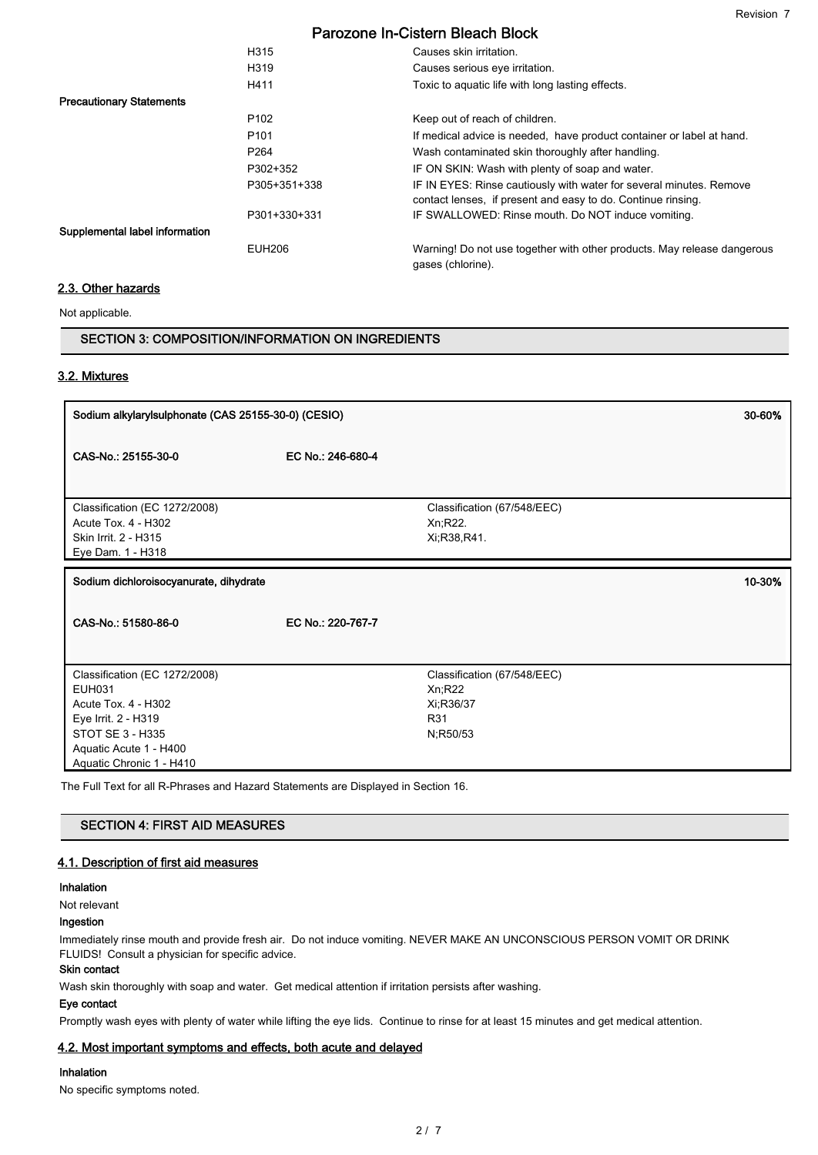|                                 | H315             | Causes skin irritation.                                                                                                             |
|---------------------------------|------------------|-------------------------------------------------------------------------------------------------------------------------------------|
|                                 | H319             | Causes serious eye irritation.                                                                                                      |
|                                 | H411             | Toxic to aquatic life with long lasting effects.                                                                                    |
| <b>Precautionary Statements</b> |                  |                                                                                                                                     |
|                                 | P <sub>102</sub> | Keep out of reach of children.                                                                                                      |
|                                 | P <sub>101</sub> | If medical advice is needed, have product container or label at hand.                                                               |
|                                 | P <sub>264</sub> | Wash contaminated skin thoroughly after handling.                                                                                   |
|                                 | P302+352         | IF ON SKIN: Wash with plenty of soap and water.                                                                                     |
|                                 | P305+351+338     | IF IN EYES: Rinse cautiously with water for several minutes. Remove<br>contact lenses, if present and easy to do. Continue rinsing. |
|                                 | P301+330+331     | IF SWALLOWED: Rinse mouth. Do NOT induce vomiting.                                                                                  |
| Supplemental label information  |                  |                                                                                                                                     |
|                                 | <b>EUH206</b>    | Warning! Do not use together with other products. May release dangerous<br>gases (chlorine).                                        |

#### 2.3. Other hazards

Not applicable.

### SECTION 3: COMPOSITION/INFORMATION ON INGREDIENTS

# 3.2. Mixtures

| Sodium alkylarylsulphonate (CAS 25155-30-0) (CESIO)                                                              |                   |                                                                        | 30-60% |
|------------------------------------------------------------------------------------------------------------------|-------------------|------------------------------------------------------------------------|--------|
| CAS-No.: 25155-30-0                                                                                              | EC No.: 246-680-4 |                                                                        |        |
| Classification (EC 1272/2008)<br>Acute Tox. 4 - H302<br>Skin Irrit. 2 - H315<br>Eye Dam. 1 - H318                |                   | Classification (67/548/EEC)<br>Xn;R22.<br>Xi, R38, R41.                |        |
| Sodium dichloroisocyanurate, dihydrate                                                                           |                   |                                                                        | 10-30% |
| CAS-No.: 51580-86-0                                                                                              | EC No.: 220-767-7 |                                                                        |        |
| Classification (EC 1272/2008)<br><b>EUH031</b><br>Acute Tox. 4 - H302<br>Eye Irrit. 2 - H319<br>STOT SE 3 - H335 |                   | Classification (67/548/EEC)<br>Xn; R22<br>Xi;R36/37<br>R31<br>N;R50/53 |        |

# SECTION 4: FIRST AID MEASURES

#### 4.1. Description of first aid measures

#### Inhalation

Not relevant

#### Ingestion

Immediately rinse mouth and provide fresh air. Do not induce vomiting. NEVER MAKE AN UNCONSCIOUS PERSON VOMIT OR DRINK FLUIDS! Consult a physician for specific advice.

#### Skin contact

Wash skin thoroughly with soap and water. Get medical attention if irritation persists after washing.

#### Eye contact

Promptly wash eyes with plenty of water while lifting the eye lids. Continue to rinse for at least 15 minutes and get medical attention.

### 4.2. Most important symptoms and effects, both acute and delayed

#### Inhalation

No specific symptoms noted.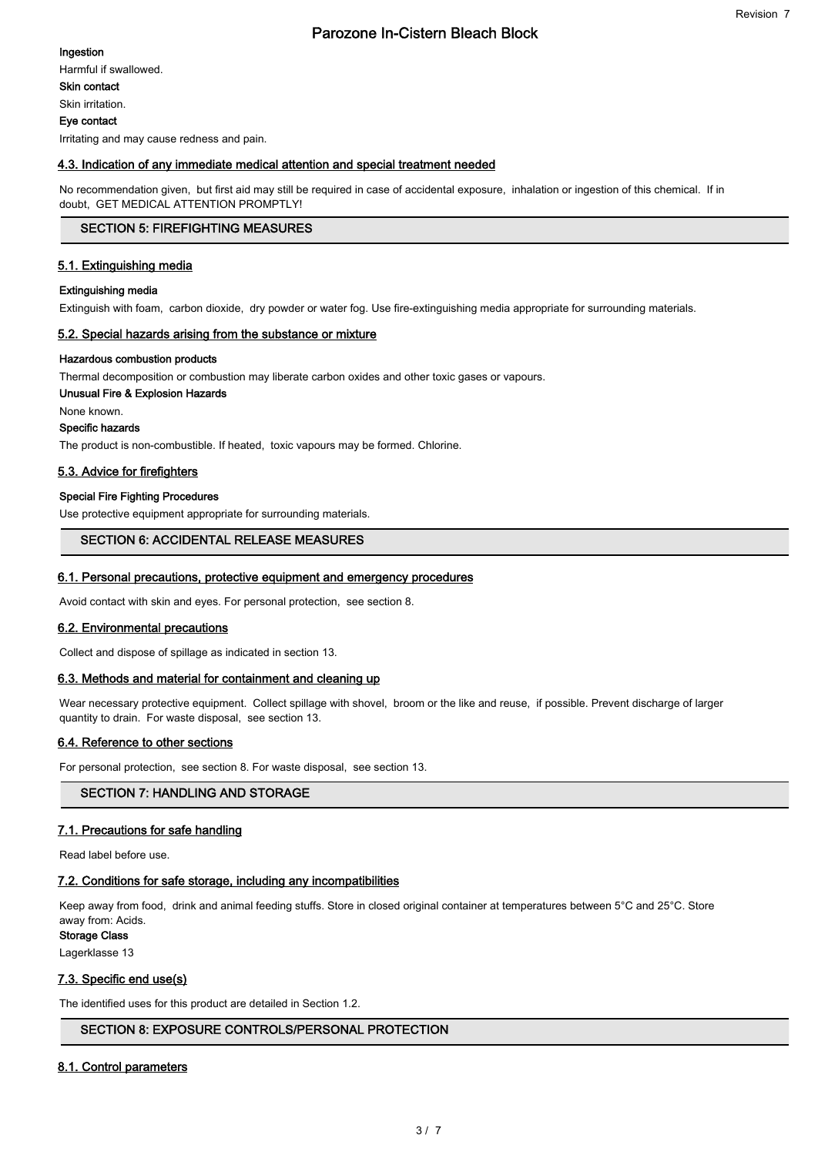Ingestion

Skin contact

Skin irritation.

Eye contact

Irritating and may cause redness and pain.

### 4.3. Indication of any immediate medical attention and special treatment needed

No recommendation given, but first aid may still be required in case of accidental exposure, inhalation or ingestion of this chemical. If in doubt, GET MEDICAL ATTENTION PROMPTLY!

# SECTION 5: FIREFIGHTING MEASURES

#### 5.1. Extinguishing media

#### Extinguishing media

Extinguish with foam, carbon dioxide, dry powder or water fog. Use fire-extinguishing media appropriate for surrounding materials.

#### 5.2. Special hazards arising from the substance or mixture

#### Hazardous combustion products

Thermal decomposition or combustion may liberate carbon oxides and other toxic gases or vapours.

# Unusual Fire & Explosion Hazards

None known.

Specific hazards

The product is non-combustible. If heated, toxic vapours may be formed. Chlorine.

# 5.3. Advice for firefighters

#### Special Fire Fighting Procedures

Use protective equipment appropriate for surrounding materials.

#### SECTION 6: ACCIDENTAL RELEASE MEASURES

#### 6.1. Personal precautions, protective equipment and emergency procedures

Avoid contact with skin and eyes. For personal protection, see section 8.

#### 6.2. Environmental precautions

Collect and dispose of spillage as indicated in section 13.

#### 6.3. Methods and material for containment and cleaning up

Wear necessary protective equipment. Collect spillage with shovel, broom or the like and reuse, if possible. Prevent discharge of larger quantity to drain. For waste disposal, see section 13.

# 6.4. Reference to other sections

For personal protection, see section 8. For waste disposal, see section 13.

# SECTION 7: HANDLING AND STORAGE

# 7.1. Precautions for safe handling

Read label before use.

#### 7.2. Conditions for safe storage, including any incompatibilities

Keep away from food, drink and animal feeding stuffs. Store in closed original container at temperatures between 5°C and 25°C. Store away from: Acids.

Storage Class

Lagerklasse 13

#### 7.3. Specific end use(s)

The identified uses for this product are detailed in Section 1.2.

# SECTION 8: EXPOSURE CONTROLS/PERSONAL PROTECTION

# 8.1. Control parameters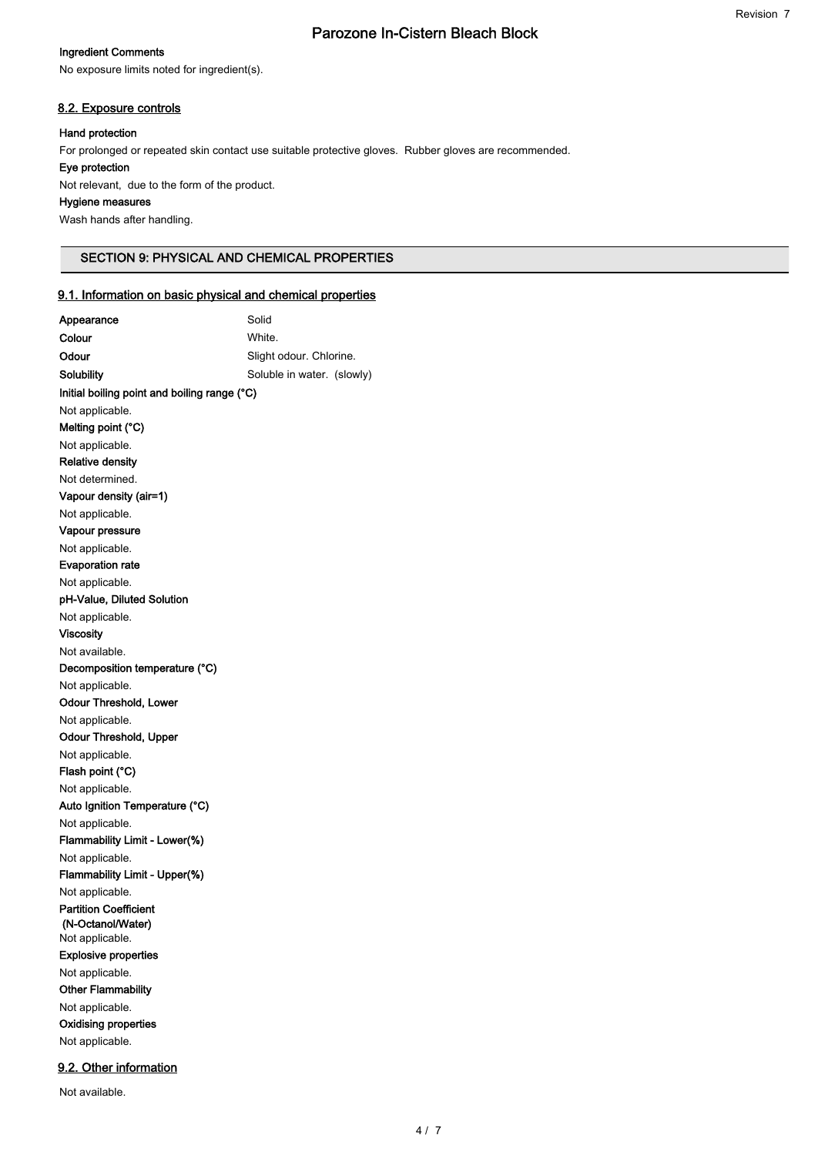### Ingredient Comments

No exposure limits noted for ingredient(s).

#### 8.2. Exposure controls

### Hand protection

For prolonged or repeated skin contact use suitable protective gloves. Rubber gloves are recommended.

#### Eye protection

Not available.

Not relevant, due to the form of the product.

# Hygiene measures

Wash hands after handling.

#### SECTION 9: PHYSICAL AND CHEMICAL PROPERTIES

### 9.1. Information on basic physical and chemical properties

| Appearance                                        | Solid                      |
|---------------------------------------------------|----------------------------|
| Colour                                            | White.                     |
| Odour                                             | Slight odour. Chlorine.    |
| Solubility                                        | Soluble in water. (slowly) |
| Initial boiling point and boiling range (°C)      |                            |
| Not applicable.                                   |                            |
| Melting point (°C)                                |                            |
| Not applicable.                                   |                            |
| <b>Relative density</b>                           |                            |
| Not determined.                                   |                            |
| Vapour density (air=1)                            |                            |
| Not applicable.                                   |                            |
| Vapour pressure                                   |                            |
| Not applicable.                                   |                            |
| <b>Evaporation rate</b>                           |                            |
| Not applicable.                                   |                            |
| pH-Value, Diluted Solution                        |                            |
| Not applicable.                                   |                            |
| <b>Viscosity</b>                                  |                            |
| Not available.                                    |                            |
| Decomposition temperature (°C)                    |                            |
| Not applicable.                                   |                            |
| Odour Threshold, Lower                            |                            |
| Not applicable.                                   |                            |
| Odour Threshold, Upper                            |                            |
| Not applicable.                                   |                            |
| Flash point (°C)                                  |                            |
| Not applicable.                                   |                            |
| Auto Ignition Temperature (°C)                    |                            |
| Not applicable.                                   |                            |
| Flammability Limit - Lower(%)                     |                            |
| Not applicable.                                   |                            |
| Flammability Limit - Upper(%)                     |                            |
| Not applicable.                                   |                            |
| <b>Partition Coefficient</b><br>(N-Octanol/Water) |                            |
| Not applicable.                                   |                            |
| <b>Explosive properties</b>                       |                            |
| Not applicable.                                   |                            |
| <b>Other Flammability</b>                         |                            |
| Not applicable.                                   |                            |
| <b>Oxidising properties</b>                       |                            |
| Not applicable.                                   |                            |
|                                                   |                            |
| 9.2. Other information                            |                            |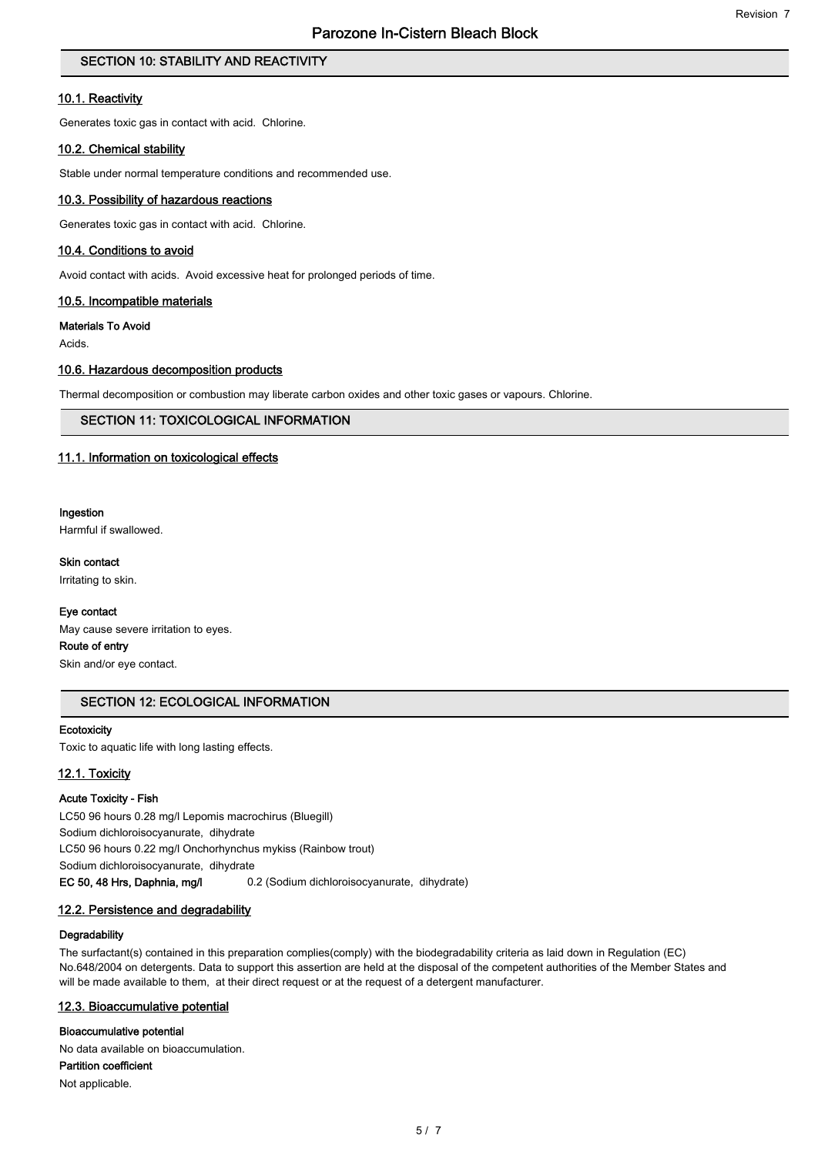# SECTION 10: STABILITY AND REACTIVITY

#### 10.1. Reactivity

Generates toxic gas in contact with acid. Chlorine.

#### 10.2. Chemical stability

Stable under normal temperature conditions and recommended use.

#### 10.3. Possibility of hazardous reactions

Generates toxic gas in contact with acid. Chlorine.

### 10.4. Conditions to avoid

Avoid contact with acids. Avoid excessive heat for prolonged periods of time.

#### 10.5. Incompatible materials

#### Materials To Avoid

Acids.

#### 10.6. Hazardous decomposition products

Thermal decomposition or combustion may liberate carbon oxides and other toxic gases or vapours. Chlorine.

# SECTION 11: TOXICOLOGICAL INFORMATION

#### 11.1. Information on toxicological effects

#### Ingestion

Harmful if swallowed.

#### Skin contact

Irritating to skin.

#### Eye contact

May cause severe irritation to eyes.

# Route of entry

Skin and/or eye contact.

# SECTION 12: ECOLOGICAL INFORMATION

#### **Ecotoxicity**

Toxic to aquatic life with long lasting effects.

#### 12.1. Toxicity

#### Acute Toxicity - Fish

LC50 96 hours 0.28 mg/l Lepomis macrochirus (Bluegill) Sodium dichloroisocyanurate, dihydrate LC50 96 hours 0.22 mg/l Onchorhynchus mykiss (Rainbow trout) Sodium dichloroisocyanurate, dihydrate EC 50, 48 Hrs, Daphnia, mg/l 0.2 (Sodium dichloroisocyanurate, dihydrate)

#### 12.2. Persistence and degradability

#### **Degradability**

The surfactant(s) contained in this preparation complies(comply) with the biodegradability criteria as laid down in Regulation (EC) No.648/2004 on detergents. Data to support this assertion are held at the disposal of the competent authorities of the Member States and will be made available to them, at their direct request or at the request of a detergent manufacturer.

#### 12.3. Bioaccumulative potential

#### Bioaccumulative potential

No data available on bioaccumulation.

Partition coefficient

Not applicable.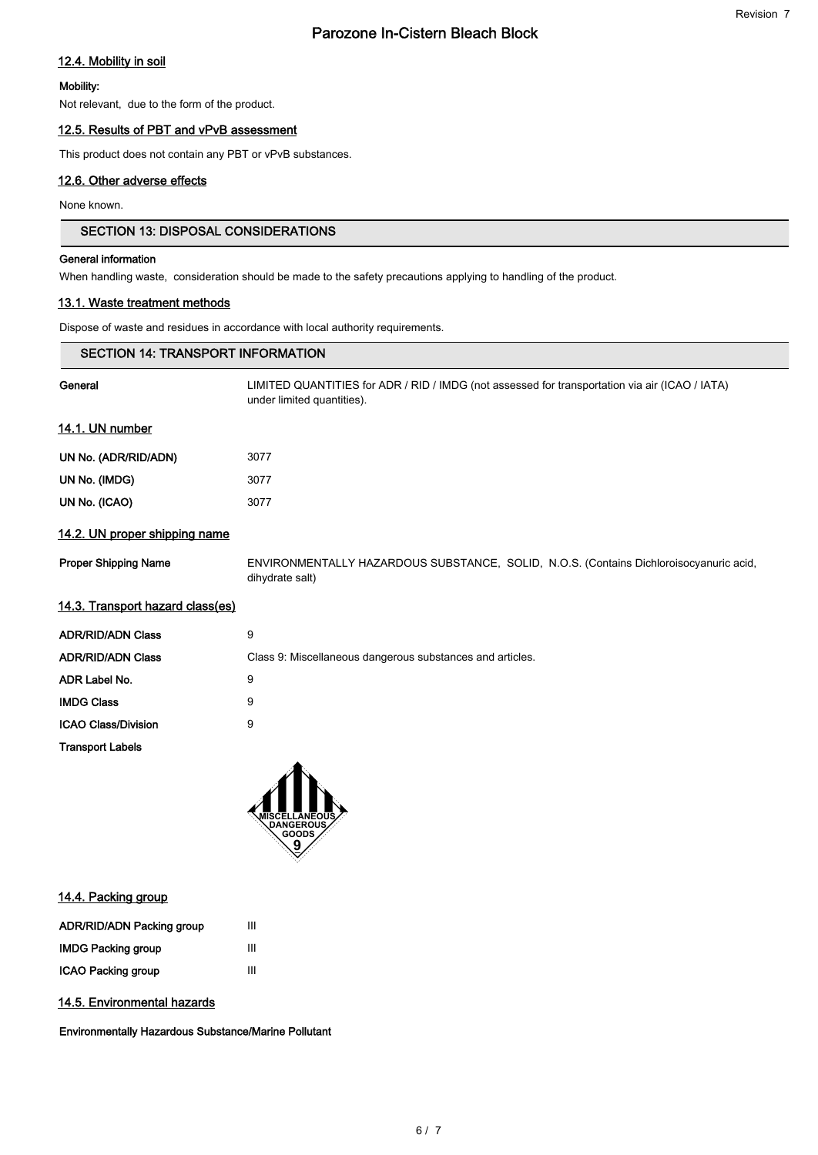# 12.4. Mobility in soil

#### Mobility:

Not relevant, due to the form of the product.

### 12.5. Results of PBT and vPvB assessment

This product does not contain any PBT or vPvB substances.

## 12.6. Other adverse effects

None known.

# SECTION 13: DISPOSAL CONSIDERATIONS

#### General information

When handling waste, consideration should be made to the safety precautions applying to handling of the product.

# 13.1. Waste treatment methods

Dispose of waste and residues in accordance with local authority requirements.

| <b>SECTION 14: TRANSPORT INFORMATION</b> |                                                                                                                              |
|------------------------------------------|------------------------------------------------------------------------------------------------------------------------------|
| General                                  | LIMITED QUANTITIES for ADR / RID / IMDG (not assessed for transportation via air (ICAO / IATA)<br>under limited quantities). |
| 14.1. UN number                          |                                                                                                                              |
| UN No. (ADR/RID/ADN)                     | 3077                                                                                                                         |
| UN No. (IMDG)                            | 3077                                                                                                                         |
| UN No. (ICAO)                            | 3077                                                                                                                         |
| 14.2. UN proper shipping name            |                                                                                                                              |
| <b>Proper Shipping Name</b>              | ENVIRONMENTALLY HAZARDOUS SUBSTANCE, SOLID, N.O.S. (Contains Dichloroisocyanuric acid,<br>dihydrate salt)                    |
| 14.3. Transport hazard class(es)         |                                                                                                                              |
| <b>ADR/RID/ADN Class</b>                 | 9                                                                                                                            |
| <b>ADR/RID/ADN Class</b>                 | Class 9: Miscellaneous dangerous substances and articles.                                                                    |
| ADR Label No.                            | 9                                                                                                                            |
| <b>IMDG Class</b>                        | 9                                                                                                                            |
| <b>ICAO Class/Division</b>               | 9                                                                                                                            |
| <b>Transport Labels</b>                  |                                                                                                                              |
|                                          |                                                                                                                              |



# 14.4. Packing group

| <b>ADR/RID/ADN Packing group</b> | Ш |
|----------------------------------|---|
| <b>IMDG Packing group</b>        | Ш |
| <b>ICAO Packing group</b>        | ш |

# 14.5. Environmental hazards

Environmentally Hazardous Substance/Marine Pollutant